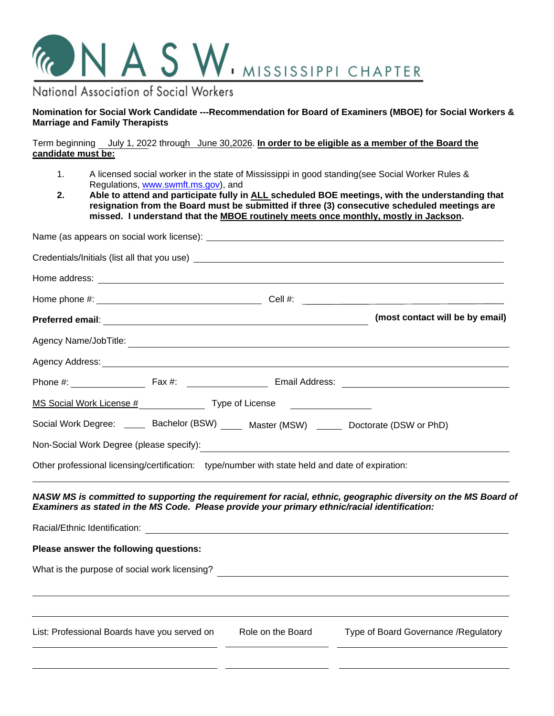

# National Association of Social Workers

## **Nomination for Social Work Candidate ---Recommendation for Board of Examiners (MBOE) for Social Workers & Marriage and Family Therapists**

Term beginning July 1, 2022 through June 30,2026. **In order to be eligible as a member of the Board the candidate must be:**

- 1. A licensed social worker in the state of Mississippi in good standing(see Social Worker Rules & Regulations, www.swmft.ms.gov), and
- **2. Able to attend and participate fully in ALL scheduled BOE meetings, with the understanding that resignation from the Board must be submitted if three (3) consecutive scheduled meetings are missed. I understand that the MBOE routinely meets once monthly, mostly in Jackson.**

|                                                                                                                                                                                                                                      |                   | (most contact will be by email)       |
|--------------------------------------------------------------------------------------------------------------------------------------------------------------------------------------------------------------------------------------|-------------------|---------------------------------------|
| Agency Name/JobTitle: <u>Communications of the set of the set of the set of the set of the set of the set of the set of the set of the set of the set of the set of the set of the set of the set of the set of the set of the s</u> |                   |                                       |
|                                                                                                                                                                                                                                      |                   |                                       |
|                                                                                                                                                                                                                                      |                   |                                       |
|                                                                                                                                                                                                                                      |                   |                                       |
| Social Work Degree: _____ Bachelor (BSW) _____ Master (MSW) _____ Doctorate (DSW or PhD)                                                                                                                                             |                   |                                       |
| Non-Social Work Degree (please specify): <u>Community of the set of the set of the set of the set of the set of the set of the set of the set of the set of the set of the set of the set of the set of the set of the set of th</u> |                   |                                       |
| Other professional licensing/certification: type/number with state held and date of expiration:                                                                                                                                      |                   |                                       |
| NASW MS is committed to supporting the requirement for racial, ethnic, geographic diversity on the MS Board of<br>Examiners as stated in the MS Code. Please provide your primary ethnic/racial identification:                      |                   |                                       |
|                                                                                                                                                                                                                                      |                   |                                       |
| Please answer the following questions:                                                                                                                                                                                               |                   |                                       |
|                                                                                                                                                                                                                                      |                   |                                       |
|                                                                                                                                                                                                                                      |                   |                                       |
| List: Professional Boards have you served on<br><u> 1989 - Johann Stoff, fransk konge og det ble stoffen og det ble stoffen og det ble stoffen og det ble stoffen</u>                                                                | Role on the Board | Type of Board Governance / Regulatory |
|                                                                                                                                                                                                                                      |                   |                                       |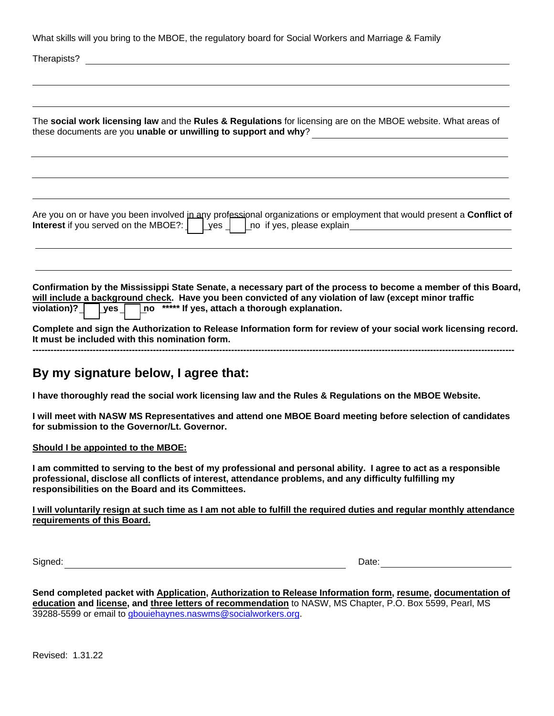What skills will you bring to the MBOE, the regulatory board for Social Workers and Marriage & Family

| Therapists?                                                                                                                                                                                                                                                                                                                                                                                                                 |
|-----------------------------------------------------------------------------------------------------------------------------------------------------------------------------------------------------------------------------------------------------------------------------------------------------------------------------------------------------------------------------------------------------------------------------|
|                                                                                                                                                                                                                                                                                                                                                                                                                             |
| The social work licensing law and the Rules & Regulations for licensing are on the MBOE website. What areas of<br>these documents are you unable or unwilling to support and why?                                                                                                                                                                                                                                           |
|                                                                                                                                                                                                                                                                                                                                                                                                                             |
| Are you on or have you been involved in any professional organizations or employment that would present a Conflict of<br>Interest if you served on the MBOE?:     yes     no if yes, please explain _________________________                                                                                                                                                                                               |
| Confirmation by the Mississippi State Senate, a necessary part of the process to become a member of this Board,<br>will include a background check. Have you been convicted of any violation of law (except minor traffic<br>no ***** If yes, attach a thorough explanation.<br>violation)?   $ $ yes $ $<br>Osmulate and stondies Authenticated Delegae Information from formation of courses the model theoretica present |

**Complete and sign the Authorization to Release Information form for review of your social work licensing record. It must be included with this nomination form. ----------------------------------------------------------------------------------------------------------------------------------------------------------------**

## **By my signature below, I agree that:**

**I have thoroughly read the social work licensing law and the Rules & Regulations on the MBOE Website.** 

**I will meet with NASW MS Representatives and attend one MBOE Board meeting before selection of candidates for submission to the Governor/Lt. Governor.**

#### **Should I be appointed to the MBOE:**

**I am committed to serving to the best of my professional and personal ability. I agree to act as a responsible professional, disclose all conflicts of interest, attendance problems, and any difficulty fulfilling my responsibilities on the Board and its Committees.** 

#### **I will voluntarily resign at such time as I am not able to fulfill the required duties and regular monthly attendance requirements of this Board.**

Signed: Date:

**Send completed packet with Application, Authorization to Release Information form, resume, documentation of education and license, and three letters of recommendation** to NASW, MS Chapter, P.O. Box 5599, Pearl, MS 39288-5599 or email to [gbouiehaynes.naswms@socialworkers.org.](mailto:gbouiehaynes.naswms@socialworkers.org)